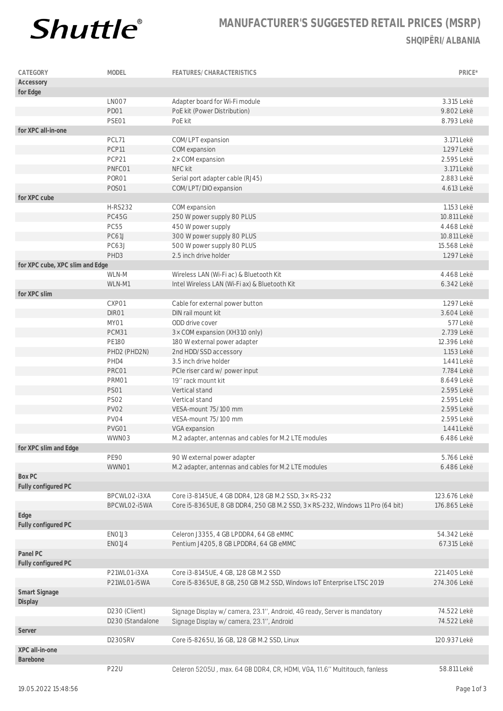

## **MANUFACTURER'S SUGGESTED RETAIL PRICES (MSRP) SHQIPËRI/ALBANIA**

| CATEGORY                        | MODEL            | FEATURES/CHARACTERISTICS                                                      | PRICE*       |
|---------------------------------|------------------|-------------------------------------------------------------------------------|--------------|
| Accessory                       |                  |                                                                               |              |
| for Edge                        |                  |                                                                               |              |
|                                 | LNO07            | Adapter board for Wi-Fi module                                                | 3.315 Lekë   |
|                                 | PD01             | PoE kit (Power Distribution)                                                  | 9.802 Lekë   |
|                                 | PSE01            | PoE kit                                                                       | 8.793 Lekë   |
| for XPC all-in-one              |                  |                                                                               |              |
|                                 | PCL71            | COM/LPT expansion                                                             | 3.171 Lekë   |
|                                 | PCP11            |                                                                               | 1.297 Lekë   |
|                                 |                  | COM expansion                                                                 |              |
|                                 | PCP21            | 2× COM expansion                                                              | 2.595 Lekë   |
|                                 | PNFC01           | NFC kit                                                                       | 3.171 Lekë   |
|                                 | PORO1            | Serial port adapter cable (RJ45)                                              | 2.883 Lekë   |
|                                 | <b>POSO1</b>     | COM/LPT/DIO expansion                                                         | 4.613 Lekë   |
| for XPC cube                    |                  |                                                                               |              |
|                                 | <b>H-RS232</b>   | COM expansion                                                                 | 1.153 Lekë   |
|                                 | <b>PC45G</b>     | 250 W power supply 80 PLUS                                                    | 10.811 Lekë  |
|                                 | <b>PC55</b>      | 450 W power supply                                                            | 4.468 Lekë   |
|                                 | PC61J            | 300 W power supply 80 PLUS                                                    | 10.811 Lekë  |
|                                 | PC63J            | 500 W power supply 80 PLUS                                                    | 15.568 Lekë  |
|                                 | PHD3             | 2.5 inch drive holder                                                         | 1.297 Lekë   |
| for XPC cube, XPC slim and Edge |                  |                                                                               |              |
|                                 | WLN-M            | Wireless LAN (Wi-Fi ac) & Bluetooth Kit                                       | 4.468 Lekë   |
|                                 | WLN-M1           | Intel Wireless LAN (Wi-Fi ax) & Bluetooth Kit                                 | 6.342 Lekë   |
| for XPC slim                    |                  |                                                                               |              |
|                                 | CXP01            | Cable for external power button                                               | 1.297 Lekë   |
|                                 | DIR01            | DIN rail mount kit                                                            | 3.604 Lekë   |
|                                 |                  |                                                                               |              |
|                                 | MY01             | ODD drive cover                                                               | 577 Lekë     |
|                                 | PCM31            | 3× COM expansion (XH310 only)                                                 | 2.739 Lekë   |
|                                 | <b>PE180</b>     | 180 W external power adapter                                                  | 12.396 Lekë  |
|                                 | PHD2 (PHD2N)     | 2nd HDD/SSD accessory                                                         | 1.153 Lekë   |
|                                 | PHD4             | 3.5 inch drive holder                                                         | 1.441 Lekë   |
|                                 | PRC01            | PCIe riser card w/ power input                                                | 7.784 Lekë   |
|                                 | PRM01            | 19" rack mount kit                                                            | 8.649 Lekë   |
|                                 | <b>PS01</b>      | Vertical stand                                                                | 2.595 Lekë   |
|                                 | <b>PS02</b>      | Vertical stand                                                                | 2.595 Lekë   |
|                                 | <b>PV02</b>      | VESA-mount 75/100 mm                                                          | 2.595 Lekë   |
|                                 | PV04             | VESA-mount 75/100 mm                                                          | 2.595 Lekë   |
|                                 | PVG01            | VGA expansion                                                                 | 1.441 Lekë   |
|                                 | WWN03            | M.2 adapter, antennas and cables for M.2 LTE modules                          | 6.486 Lekë   |
| for XPC slim and Edge           |                  |                                                                               |              |
|                                 | <b>PE90</b>      | 90 W external power adapter                                                   | 5.766 Lekë   |
|                                 | WWN01            | M.2 adapter, antennas and cables for M.2 LTE modules                          | 6.486 Lekë   |
| Box PC                          |                  |                                                                               |              |
|                                 |                  |                                                                               |              |
| Fully configured PC             |                  |                                                                               |              |
|                                 | BPCWLO2-i3XA     | Core i3-8145UE, 4 GB DDR4, 128 GB M.2 SSD, 3x RS-232                          | 123.676 Lekë |
|                                 | BPCWLO2-i5WA     | Core i5-8365UE, 8 GB DDR4, 250 GB M.2 SSD, 3x RS-232, Windows 11 Pro (64 bit) | 176.865 Lekë |
| Edge                            |                  |                                                                               |              |
| Fully configured PC             |                  |                                                                               |              |
|                                 | EN01J3           | Celeron J3355, 4 GB LPDDR4, 64 GB eMMC                                        | 54.342 Lekë  |
|                                 | EN01J4           | Pentium J4205, 8 GB LPDDR4, 64 GB eMMC                                        | 67.315 Lekë  |
| Panel PC                        |                  |                                                                               |              |
| Fully configured PC             |                  |                                                                               |              |
|                                 | P21WL01-i3XA     | Core i3-8145UE, 4 GB, 128 GB M.2 SSD                                          | 221.405 Lekë |
|                                 | P21WL01-i5WA     | Core i5-8365UE, 8 GB, 250 GB M.2 SSD, Windows IoT Enterprise LTSC 2019        | 274.306 Lekë |
| Smart Signage<br>Display        |                  |                                                                               |              |
|                                 | D230 (Client)    | Signage Display w/ camera, 23.1", Android, 4G ready, Server is mandatory      | 74.522 Lekë  |
|                                 |                  |                                                                               |              |
|                                 | D230 (Standalone | Signage Display w/ camera, 23.1", Android                                     | 74.522 Lekë  |
| Server                          |                  |                                                                               |              |
|                                 | D230SRV          | Core i5-8265U, 16 GB, 128 GB M.2 SSD, Linux                                   | 120.937 Lekë |
| XPC all-in-one                  |                  |                                                                               |              |
| Barebone                        |                  |                                                                               |              |
|                                 | <b>P22U</b>      | Celeron 5205U, max. 64 GB DDR4, CR, HDMI, VGA, 11.6" Multitouch, fanless      | 58.811 Lekë  |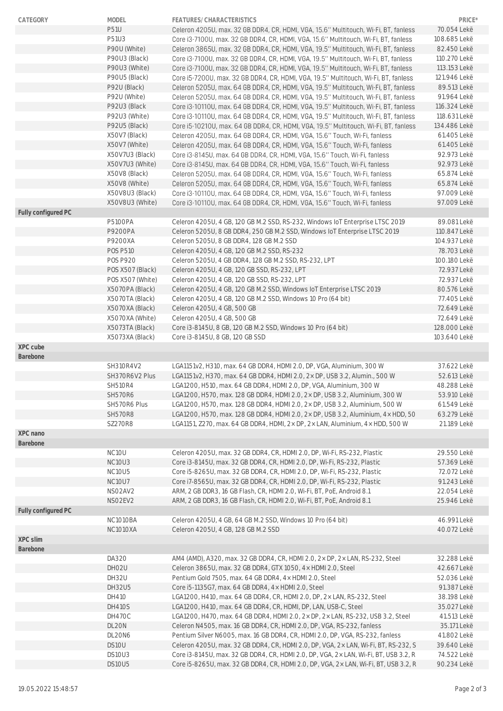| CATEGORY            | MODEL                              | FEATURES/CHARACTERISTICS                                                                                                                                                     | PRICE*                     |
|---------------------|------------------------------------|------------------------------------------------------------------------------------------------------------------------------------------------------------------------------|----------------------------|
|                     | <b>P51U</b>                        | Celeron 4205U, max. 32 GB DDR4, CR, HDMI, VGA, 15.6" Multitouch, Wi-Fi, BT, fanless                                                                                          | 70.054 Lekë                |
|                     | P51U3                              | Core i3-7100U, max. 32 GB DDR4, CR, HDMI, VGA, 15.6" Multitouch, Wi-Fi, BT, fanless                                                                                          | 108.685 Lekë               |
|                     | P90U (White)                       | Celeron 3865U, max. 32 GB DDR4, CR, HDMI, VGA, 19.5" Multitouch, Wi-Fi, BT, fanless                                                                                          | 82.450 Lekë                |
|                     | P90U3 (Black)                      | Core i3-7100U, max. 32 GB DDR4, CR, HDMI, VGA, 19.5" Multitouch, Wi-Fi, BT, fanless                                                                                          | 110.270 Lekë               |
|                     | P90U3 (White)                      | Core i3-7100U, max. 32 GB DDR4, CR, HDMI, VGA, 19.5" Multitouch, Wi-Fi, BT, fanless                                                                                          | 113.153 Lekë               |
|                     | P90U5 (Black)                      | Core i5-7200U, max. 32 GB DDR4, CR, HDMI, VGA, 19.5" Multitouch, Wi-Fi, BT, fanless                                                                                          | 121.946 Lekë               |
|                     | P92U (Black)                       | Celeron 5205U, max. 64 GB DDR4, CR, HDMI, VGA, 19.5" Multitouch, Wi-Fi, BT, fanless                                                                                          | 89.513 Lekë                |
|                     | P92U (White)                       | Celeron 5205U, max. 64 GB DDR4, CR, HDMI, VGA, 19.5" Multitouch, Wi-Fi, BT, fanless                                                                                          | 91.964 Lekë                |
|                     | P92U3 (Black                       | Core i3-10110U, max. 64 GB DDR4, CR, HDMI, VGA, 19.5" Multitouch, Wi-Fi, BT, fanless                                                                                         | 116.324 Lekë               |
|                     | P92U3 (White)                      | Core i3-10110U, max. 64 GB DDR4, CR, HDMI, VGA, 19.5" Multitouch, Wi-Fi, BT, fanless                                                                                         | 118.631 Lekë               |
|                     | P92U5 (Black)                      | Core i5-10210U, max. 64 GB DDR4, CR, HDMI, VGA, 19.5" Multitouch, Wi-Fi, BT, fanless                                                                                         | 134.486 Lekë               |
|                     | X50V7 (Black)                      | Celeron 4205U, max. 64 GB DDR4, CR, HDMI, VGA, 15.6" Touch, Wi-Fi, fanless                                                                                                   | 61.405 Lekë                |
|                     | X50V7 (White)                      | Celeron 4205U, max. 64 GB DDR4, CR, HDMI, VGA, 15.6" Touch, Wi-Fi, fanless                                                                                                   | 61.405 Lekë                |
|                     | X50V7U3 (Black)<br>X50V7U3 (White) | Core i3-8145U, max. 64 GB DDR4, CR, HDMI, VGA, 15.6" Touch, Wi-Fi, fanless<br>Core i3-8145U, max. 64 GB DDR4, CR, HDMI, VGA, 15.6" Touch, Wi-Fi, fanless                     | 92.973 Lekë<br>92.973 Lekë |
|                     | X50V8 (Black)                      | Celeron 5205U, max. 64 GB DDR4, CR, HDMI, VGA, 15.6" Touch, Wi-Fi, fanless                                                                                                   | 65.874 Lekë                |
|                     | X50V8 (White)                      | Celeron 5205U, max. 64 GB DDR4, CR, HDMI, VGA, 15.6" Touch, Wi-Fi, fanless                                                                                                   | 65.874 Lekë                |
|                     | X50V8U3 (Black)                    | Core i3-10110U, max. 64 GB DDR4, CR, HDMI, VGA, 15.6" Touch, Wi-Fi, fanless                                                                                                  | 97.009 Lekë                |
|                     | X50V8U3 (White)                    | Core i3-10110U, max. 64 GB DDR4, CR, HDMI, VGA, 15.6" Touch, Wi-Fi, fanless                                                                                                  | 97.009 Lekë                |
| Fully configured PC |                                    |                                                                                                                                                                              |                            |
|                     | <b>P5100PA</b>                     | Celeron 4205U, 4 GB, 120 GB M.2 SSD, RS-232, Windows IoT Enterprise LTSC 2019                                                                                                | 89.081 Lekë                |
|                     | <b>P9200PA</b>                     | Celeron 5205U, 8 GB DDR4, 250 GB M.2 SSD, Windows IoT Enterprise LTSC 2019                                                                                                   | 110.847 Lekë               |
|                     | P9200XA                            | Celeron 5205U, 8 GB DDR4, 128 GB M.2 SSD                                                                                                                                     | 104.937 Lekë               |
|                     | <b>POS P510</b>                    | Celeron 4205U, 4 GB, 120 GB M.2 SSD, RS-232                                                                                                                                  | 78.703 Lekë                |
|                     | <b>POS P920</b>                    | Celeron 5205U, 4 GB DDR4, 128 GB M.2 SSD, RS-232, LPT                                                                                                                        | 100.180 Lekë               |
|                     | POS X507 (Black)                   | Celeron 4205U, 4 GB, 120 GB SSD, RS-232, LPT                                                                                                                                 | 72.937 Lekë                |
|                     | POS X507 (White)                   | Celeron 4205U, 4 GB, 120 GB SSD, RS-232, LPT                                                                                                                                 | 72.937 Lekë                |
|                     | X5070PA (Black)                    | Celeron 4205U, 4 GB, 120 GB M.2 SSD, Windows IoT Enterprise LTSC 2019                                                                                                        | 80.576 Lekë                |
|                     | X5070TA (Black)                    | Celeron 4205U, 4 GB, 120 GB M.2 SSD, Windows 10 Pro (64 bit)                                                                                                                 | 77.405 Lekë                |
|                     | X5070XA (Black)                    | Celeron 4205U, 4 GB, 500 GB                                                                                                                                                  | 72.649 Lekë                |
|                     | X5070XA (White)                    | Celeron 4205U, 4 GB, 500 GB                                                                                                                                                  | 72.649 Lekë                |
|                     | X5073TA (Black)                    | Core i3-8145U, 8 GB, 120 GB M.2 SSD, Windows 10 Pro (64 bit)                                                                                                                 | 128.000 Lekë               |
| XPC cube            | X5073XA (Black)                    | Core i3-8145U, 8 GB, 120 GB SSD                                                                                                                                              | 103.640 Lekë               |
| Barebone            |                                    |                                                                                                                                                                              |                            |
|                     | SH310R4V2                          | LGA1151v2, H310, max. 64 GB DDR4, HDMI 2.0, DP, VGA, Aluminium, 300 W                                                                                                        | 37.622 Lekë                |
|                     | SH370R6V2 Plus                     | LGA1151v2, H370, max. 64 GB DDR4, HDMI 2.0, 2x DP, USB 3.2, Alumin., 500 W                                                                                                   | 52.613 Lekë                |
|                     | <b>SH510R4</b>                     | LGA1200, H510, max. 64 GB DDR4, HDMI 2.0, DP, VGA, Aluminium, 300 W                                                                                                          | 48.288 Lekë                |
|                     | <b>SH570R6</b>                     | LGA1200, H570, max. 128 GB DDR4, HDMI 2.0, 2x DP, USB 3.2, Aluminium, 300 W                                                                                                  | 53.910 Lekë                |
|                     | SH570R6 Plus                       | LGA1200, H570, max. 128 GB DDR4, HDMI 2.0, 2× DP, USB 3.2, Aluminium, 500 W                                                                                                  | 61.549 Lekë                |
|                     | <b>SH570R8</b>                     | LGA1200, H570, max. 128 GB DDR4, HDMI 2.0, 2x DP, USB 3.2, Aluminium, 4x HDD, 50                                                                                             | 63.279 Lekë                |
|                     | <b>SZ270R8</b>                     | LGA1151, Z270, max. 64 GB DDR4, HDMI, 2× DP, 2× LAN, Aluminium, 4× HDD, 500 W                                                                                                | 21.189 Lekë                |
| XPC nano            |                                    |                                                                                                                                                                              |                            |
| Barebone            |                                    |                                                                                                                                                                              |                            |
|                     | NC <sub>10</sub> U                 | Celeron 4205U, max. 32 GB DDR4, CR, HDMI 2.0, DP, Wi-Fi, RS-232, Plastic                                                                                                     | 29.550 Lekë                |
|                     | NC10U3                             | Core i3-8145U, max. 32 GB DDR4, CR, HDMI 2.0, DP, Wi-Fi, RS-232, Plastic                                                                                                     | 57.369 Lekë                |
|                     | NC10U5                             | Core i5-8265U, max. 32 GB DDR4, CR, HDMI 2.0, DP, Wi-Fi, RS-232, Plastic                                                                                                     | 72.072 Lekë                |
|                     | <b>NC10U7</b>                      | Core i7-8565U, max. 32 GB DDR4, CR, HDMI 2.0, DP, Wi-Fi, RS-232, Plastic                                                                                                     | 91.243 Lekë                |
|                     | NSO2AV2                            | ARM, 2 GB DDR3, 16 GB Flash, CR, HDMI 2.0, Wi-Fi, BT, PoE, Android 8.1                                                                                                       | 22.054 Lekë                |
| Fully configured PC | NSO2EV2                            | ARM, 2 GB DDR3, 16 GB Flash, CR, HDMI 2.0, Wi-Fi, BT, PoE, Android 8.1                                                                                                       | 25.946 Lekë                |
|                     | NC1010BA                           | Celeron 4205U, 4 GB, 64 GB M.2 SSD, Windows 10 Pro (64 bit)                                                                                                                  | 46.991 Lekë                |
|                     | <b>NC1010XA</b>                    | Celeron 4205U, 4 GB, 128 GB M.2 SSD                                                                                                                                          | 40.072 Lekë                |
| XPC slim            |                                    |                                                                                                                                                                              |                            |
| Barebone            |                                    |                                                                                                                                                                              |                            |
|                     | DA320                              | AM4 (AMD), A320, max. 32 GB DDR4, CR, HDMI 2.0, 2× DP, 2× LAN, RS-232, Steel                                                                                                 | 32.288 Lekë                |
|                     | DH02U                              | Celeron 3865U, max. 32 GB DDR4, GTX 1050, 4 x HDMI 2.0, Steel                                                                                                                | 42.667 Lekë                |
|                     | DH32U                              | Pentium Gold 7505, max. 64 GB DDR4, 4x HDMI 2.0, Steel                                                                                                                       | 52.036 Lekë                |
|                     | DH32U5                             | Core i5-1135G7, max. 64 GB DDR4, 4x HDMI 2.0, Steel                                                                                                                          | 91.387 Lekë                |
|                     | DH410                              | LGA1200, H410, max. 64 GB DDR4, CR, HDMI 2.0, DP, 2x LAN, RS-232, Steel                                                                                                      | 38.198 Lekë                |
|                     | <b>DH410S</b>                      | LGA1200, H410, max. 64 GB DDR4, CR, HDMI, DP, LAN, USB-C, Steel                                                                                                              | 35.027 Lekë                |
|                     | <b>DH470C</b>                      | LGA1200, H470, max. 64 GB DDR4, HDMI 2.0, 2x DP, 2x LAN, RS-232, USB 3.2, Steel                                                                                              | 41.513 Lekë                |
|                     | DL20N                              | Celeron N4505, max. 16 GB DDR4, CR, HDMI 2.0, DP, VGA, RS-232, fanless                                                                                                       | 35.171 Lekë                |
|                     | DL20N6                             | Pentium Silver N6005, max. 16 GB DDR4, CR, HDMI 2.0, DP, VGA, RS-232, fanless                                                                                                | 41.802 Lekë                |
|                     | DS10U                              | Celeron 4205U, max. 32 GB DDR4, CR, HDMI 2.0, DP, VGA, 2× LAN, Wi-Fi, BT, RS-232, S                                                                                          | 39.640 Lekë                |
|                     | DS10U3<br>DS10U5                   | Core i3-8145U, max. 32 GB DDR4, CR, HDMI 2.0, DP, VGA, 2× LAN, Wi-Fi, BT, USB 3.2, R<br>Core i5-8265U, max. 32 GB DDR4, CR, HDMI 2.0, DP, VGA, 2× LAN, Wi-Fi, BT, USB 3.2, R | 74.522 Lekë<br>90.234 Lekë |
|                     |                                    |                                                                                                                                                                              |                            |